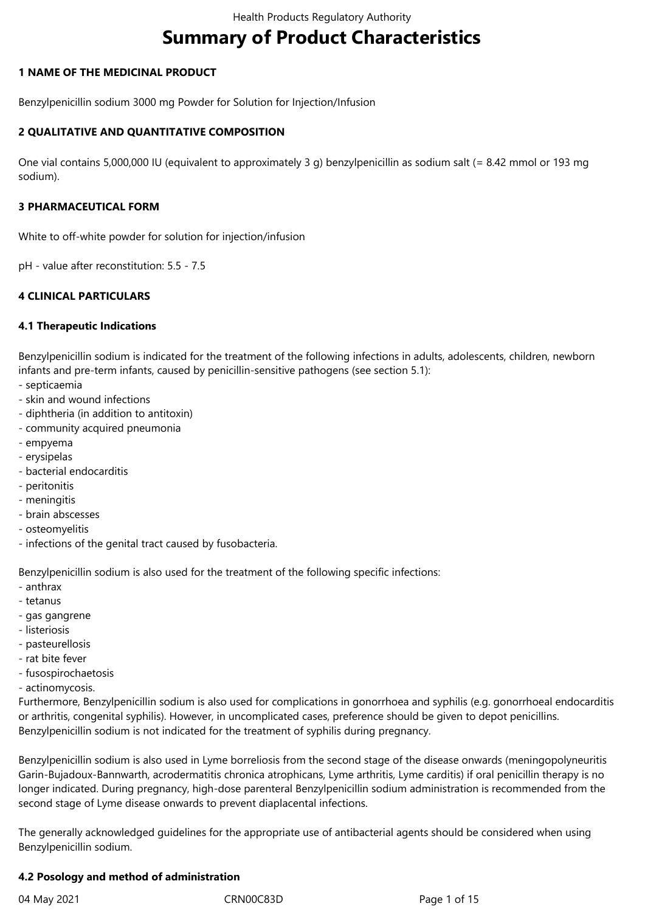# **Summary of Product Characteristics**

### **1 NAME OF THE MEDICINAL PRODUCT**

Benzylpenicillin sodium 3000 mg Powder for Solution for Injection/Infusion

### **2 QUALITATIVE AND QUANTITATIVE COMPOSITION**

One vial contains 5,000,000 IU (equivalent to approximately 3 g) benzylpenicillin as sodium salt (= 8.42 mmol or 193 mg sodium).

#### **3 PHARMACEUTICAL FORM**

White to off-white powder for solution for injection/infusion

pH - value after reconstitution: 5.5 - 7.5

## **4 CLINICAL PARTICULARS**

### **4.1 Therapeutic Indications**

Benzylpenicillin sodium is indicated for the treatment of the following infections in adults, adolescents, children, newborn infants and pre-term infants, caused by penicillin-sensitive pathogens (see section 5.1):

- septicaemia
- skin and wound infections
- diphtheria (in addition to antitoxin)
- community acquired pneumonia
- empyema
- erysipelas
- bacterial endocarditis
- peritonitis
- meningitis
- brain abscesses
- osteomyelitis
- infections of the genital tract caused by fusobacteria.

Benzylpenicillin sodium is also used for the treatment of the following specific infections:

- anthrax
- tetanus
- gas gangrene
- listeriosis
- pasteurellosis
- rat bite fever
- fusospirochaetosis
- actinomycosis.

Furthermore, Benzylpenicillin sodium is also used for complications in gonorrhoea and syphilis (e.g. gonorrhoeal endocarditis or arthritis, congenital syphilis). However, in uncomplicated cases, preference should be given to depot penicillins. Benzylpenicillin sodium is not indicated for the treatment of syphilis during pregnancy.

Benzylpenicillin sodium is also used in Lyme borreliosis from the second stage of the disease onwards (meningopolyneuritis Garin-Bujadoux-Bannwarth, acrodermatitis chronica atrophicans, Lyme arthritis, Lyme carditis) if oral penicillin therapy is no longer indicated. During pregnancy, high-dose parenteral Benzylpenicillin sodium administration is recommended from the second stage of Lyme disease onwards to prevent diaplacental infections.

The generally acknowledged guidelines for the appropriate use of antibacterial agents should be considered when using Benzylpenicillin sodium.

#### **4.2 Posology and method of administration**

04 May 2021 CRN00C83D Page 1 of 15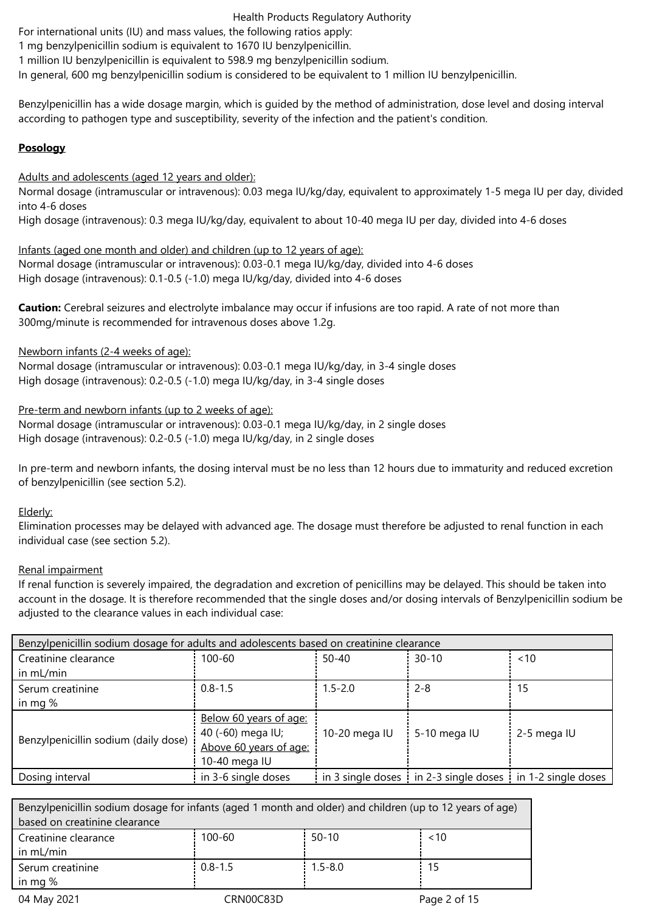For international units (IU) and mass values, the following ratios apply:

1 mg benzylpenicillin sodium is equivalent to 1670 IU benzylpenicillin.

1 million IU benzylpenicillin is equivalent to 598.9 mg benzylpenicillin sodium.

In general, 600 mg benzylpenicillin sodium is considered to be equivalent to 1 million IU benzylpenicillin.

Benzylpenicillin has a wide dosage margin, which is guided by the method of administration, dose level and dosing interval according to pathogen type and susceptibility, severity of the infection and the patient's condition.

## **Posology**

Adults and adolescents (aged 12 years and older):

Normal dosage (intramuscular or intravenous): 0.03 mega IU/kg/day, equivalent to approximately 1-5 mega IU per day, divided into 4‑6 doses

High dosage (intravenous): 0.3 mega IU/kg/day, equivalent to about 10-40 mega IU per day, divided into 4-6 doses

Infants (aged one month and older) and children (up to 12 years of age): Normal dosage (intramuscular or intravenous): 0.03-0.1 mega IU/kg/day, divided into 4-6 doses High dosage (intravenous): 0.1-0.5 (-1.0) mega IU/kg/day, divided into 4-6 doses

**Caution:** Cerebral seizures and electrolyte imbalance may occur if infusions are too rapid. A rate of not more than 300mg/minute is recommended for intravenous doses above 1.2g.

Newborn infants (2-4 weeks of age):

Normal dosage (intramuscular or intravenous): 0.03-0.1 mega IU/kg/day, in 3-4 single doses High dosage (intravenous): 0.2-0.5 (-1.0) mega IU/kg/day, in 3-4 single doses

Pre-term and newborn infants (up to 2 weeks of age):

Normal dosage (intramuscular or intravenous): 0.03-0.1 mega IU/kg/day, in 2 single doses High dosage (intravenous): 0.2-0.5 (-1.0) mega IU/kg/day, in 2 single doses

In pre-term and newborn infants, the dosing interval must be no less than 12 hours due to immaturity and reduced excretion of benzylpenicillin (see section 5.2).

Elderly:

Elimination processes may be delayed with advanced age. The dosage must therefore be adjusted to renal function in each individual case (see section 5.2).

## Renal impairment

If renal function is severely impaired, the degradation and excretion of penicillins may be delayed. This should be taken into account in the dosage. It is therefore recommended that the single doses and/or dosing intervals of Benzylpenicillin sodium be adjusted to the clearance values in each individual case:

| Benzylpenicillin sodium dosage for adults and adolescents based on creatinine clearance |                                                                                        |               |                                                                                       |             |
|-----------------------------------------------------------------------------------------|----------------------------------------------------------------------------------------|---------------|---------------------------------------------------------------------------------------|-------------|
| Creatinine clearance                                                                    | 100-60                                                                                 | $50 - 40$     | $30 - 10$                                                                             | ~10         |
| in mL/min                                                                               |                                                                                        |               |                                                                                       |             |
| Serum creatinine                                                                        | $0.8 - 1.5$                                                                            | $1.5 - 2.0$   | $2 - 8$                                                                               | 15          |
| in mg $%$                                                                               |                                                                                        |               |                                                                                       |             |
| Benzylpenicillin sodium (daily dose)                                                    | Below 60 years of age:<br>40 (-60) mega IU;<br>Above 60 years of age:<br>10-40 mega IU | 10-20 mega IU | 5-10 mega IU                                                                          | 2-5 mega IU |
| Dosing interval                                                                         | in 3-6 single doses                                                                    |               | in 3 single doses $\frac{1}{2}$ in 2-3 single doses $\frac{1}{2}$ in 1-2 single doses |             |

| Benzylpenicillin sodium dosage for infants (aged 1 month and older) and children (up to 12 years of age) |             |             |              |  |  |
|----------------------------------------------------------------------------------------------------------|-------------|-------------|--------------|--|--|
| based on creatinine clearance                                                                            |             |             |              |  |  |
| Creatinine clearance                                                                                     | $100 - 60$  | $50-10$     | ~10          |  |  |
| in mL/min                                                                                                |             |             |              |  |  |
| Serum creatinine                                                                                         | $0.8 - 1.5$ | $1.5 - 8.0$ | 15           |  |  |
| in mg $%$                                                                                                |             |             |              |  |  |
| 04 May 2021                                                                                              | CRN00C83D   |             | Page 2 of 15 |  |  |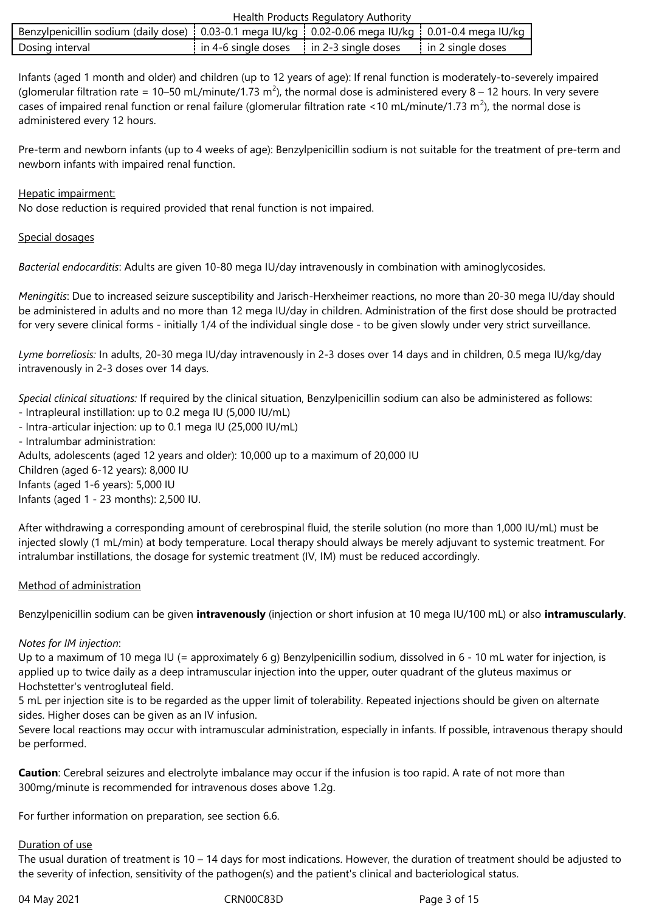| Benzylpenicillin sodium (daily dose) $\frac{1}{2}$ 0.03-0.1 mega IU/kg $\frac{1}{2}$ 0.02-0.06 mega IU/kg $\frac{1}{2}$ 0.01-0.4 mega IU/kg |                                           |                     |
|---------------------------------------------------------------------------------------------------------------------------------------------|-------------------------------------------|---------------------|
| Dosing interval                                                                                                                             | in 4-6 single doses : in 2-3 single doses | i in 2 single doses |

Infants (aged 1 month and older) and children (up to 12 years of age): If renal function is moderately-to-severely impaired (glomerular filtration rate = 10–50 mL/minute/1.73 m<sup>2</sup>), the normal dose is administered every 8 – 12 hours. In very severe cases of impaired renal function or renal failure (glomerular filtration rate <10 mL/minute/1.73 m<sup>2</sup>), the normal dose is administered every 12 hours.

Pre-term and newborn infants (up to 4 weeks of age): Benzylpenicillin sodium is not suitable for the treatment of pre-term and newborn infants with impaired renal function.

#### Hepatic impairment:

No dose reduction is required provided that renal function is not impaired.

#### Special dosages

*Bacterial endocarditis*: Adults are given 10-80 mega IU/day intravenously in combination with aminoglycosides.

*Meningitis*: Due to increased seizure susceptibility and Jarisch-Herxheimer reactions, no more than 20-30 mega IU/day should be administered in adults and no more than 12 mega IU/day in children. Administration of the first dose should be protracted for very severe clinical forms - initially 1/4 of the individual single dose - to be given slowly under very strict surveillance.

*Lyme borreliosis:* In adults, 20-30 mega IU/day intravenously in 2-3 doses over 14 days and in children, 0.5 mega IU/kg/day intravenously in 2-3 doses over 14 days.

*Special clinical situations:* If required by the clinical situation, Benzylpenicillin sodium can also be administered as follows: - Intrapleural instillation: up to 0.2 mega IU (5,000 IU/mL)

- Intra-articular injection: up to 0.1 mega IU (25,000 IU/mL)
- Intralumbar administration:

Adults, adolescents (aged 12 years and older): 10,000 up to a maximum of 20,000 IU

Children (aged 6-12 years): 8,000 IU

Infants (aged 1-6 years): 5,000 IU

Infants (aged 1 - 23 months): 2,500 IU.

After withdrawing a corresponding amount of cerebrospinal fluid, the sterile solution (no more than 1,000 IU/mL) must be injected slowly (1 mL/min) at body temperature. Local therapy should always be merely adjuvant to systemic treatment. For intralumbar instillations, the dosage for systemic treatment (IV, IM) must be reduced accordingly.

## Method of administration

Benzylpenicillin sodium can be given **intravenously** (injection or short infusion at 10 mega IU/100 mL) or also **intramuscularly**.

#### *Notes for IM injection*:

Up to a maximum of 10 mega IU (= approximately 6 g) Benzylpenicillin sodium, dissolved in 6 - 10 mL water for injection, is applied up to twice daily as a deep intramuscular injection into the upper, outer quadrant of the gluteus maximus or Hochstetter's ventrogluteal field.

5 mL per injection site is to be regarded as the upper limit of tolerability. Repeated injections should be given on alternate sides. Higher doses can be given as an IV infusion.

Severe local reactions may occur with intramuscular administration, especially in infants. If possible, intravenous therapy should be performed.

**Caution**: Cerebral seizures and electrolyte imbalance may occur if the infusion is too rapid. A rate of not more than 300mg/minute is recommended for intravenous doses above 1.2g.

For further information on preparation, see section 6.6.

#### Duration of use

The usual duration of treatment is  $10 - 14$  days for most indications. However, the duration of treatment should be adjusted to the severity of infection, sensitivity of the pathogen(s) and the patient's clinical and bacteriological status.

04 May 2021 CRN00C83D Page 3 of 15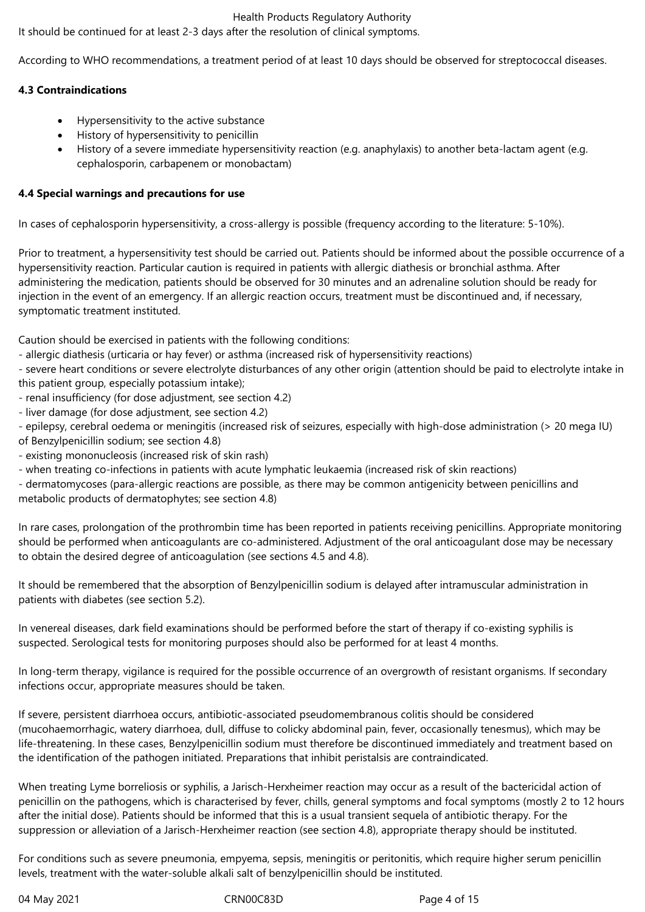It should be continued for at least 2-3 days after the resolution of clinical symptoms.

According to WHO recommendations, a treatment period of at least 10 days should be observed for streptococcal diseases.

## **4.3 Contraindications**

- Hypersensitivity to the active substance
- History of hypersensitivity to penicillin
- History of a severe immediate hypersensitivity reaction (e.g. anaphylaxis) to another beta-lactam agent (e.g. cephalosporin, carbapenem or monobactam)

### **4.4 Special warnings and precautions for use**

In cases of cephalosporin hypersensitivity, a cross-allergy is possible (frequency according to the literature: 5-10%).

Prior to treatment, a hypersensitivity test should be carried out. Patients should be informed about the possible occurrence of a hypersensitivity reaction. Particular caution is required in patients with allergic diathesis or bronchial asthma. After administering the medication, patients should be observed for 30 minutes and an adrenaline solution should be ready for injection in the event of an emergency. If an allergic reaction occurs, treatment must be discontinued and, if necessary, symptomatic treatment instituted.

Caution should be exercised in patients with the following conditions:

- allergic diathesis (urticaria or hay fever) or asthma (increased risk of hypersensitivity reactions)

- severe heart conditions or severe electrolyte disturbances of any other origin (attention should be paid to electrolyte intake in this patient group, especially potassium intake);

- renal insufficiency (for dose adjustment, see section 4.2)
- liver damage (for dose adjustment, see section 4.2)

- epilepsy, cerebral oedema or meningitis (increased risk of seizures, especially with high-dose administration (> 20 mega IU) of Benzylpenicillin sodium; see section 4.8)

- existing mononucleosis (increased risk of skin rash)
- when treating co-infections in patients with acute lymphatic leukaemia (increased risk of skin reactions)

- dermatomycoses (para-allergic reactions are possible, as there may be common antigenicity between penicillins and metabolic products of dermatophytes; see section 4.8)

In rare cases, prolongation of the prothrombin time has been reported in patients receiving penicillins. Appropriate monitoring should be performed when anticoagulants are co-administered. Adjustment of the oral anticoagulant dose may be necessary to obtain the desired degree of anticoagulation (see sections 4.5 and 4.8).

It should be remembered that the absorption of Benzylpenicillin sodium is delayed after intramuscular administration in patients with diabetes (see section 5.2).

In venereal diseases, dark field examinations should be performed before the start of therapy if co-existing syphilis is suspected. Serological tests for monitoring purposes should also be performed for at least 4 months.

In long-term therapy, vigilance is required for the possible occurrence of an overgrowth of resistant organisms. If secondary infections occur, appropriate measures should be taken.

If severe, persistent diarrhoea occurs, antibiotic-associated pseudomembranous colitis should be considered (mucohaemorrhagic, watery diarrhoea, dull, diffuse to colicky abdominal pain, fever, occasionally tenesmus), which may be life-threatening. In these cases, Benzylpenicillin sodium must therefore be discontinued immediately and treatment based on the identification of the pathogen initiated. Preparations that inhibit peristalsis are contraindicated.

When treating Lyme borreliosis or syphilis, a Jarisch-Herxheimer reaction may occur as a result of the bactericidal action of penicillin on the pathogens, which is characterised by fever, chills, general symptoms and focal symptoms (mostly 2 to 12 hours after the initial dose). Patients should be informed that this is a usual transient sequela of antibiotic therapy. For the suppression or alleviation of a Jarisch-Herxheimer reaction (see section 4.8), appropriate therapy should be instituted.

For conditions such as severe pneumonia, empyema, sepsis, meningitis or peritonitis, which require higher serum penicillin levels, treatment with the water-soluble alkali salt of benzylpenicillin should be instituted.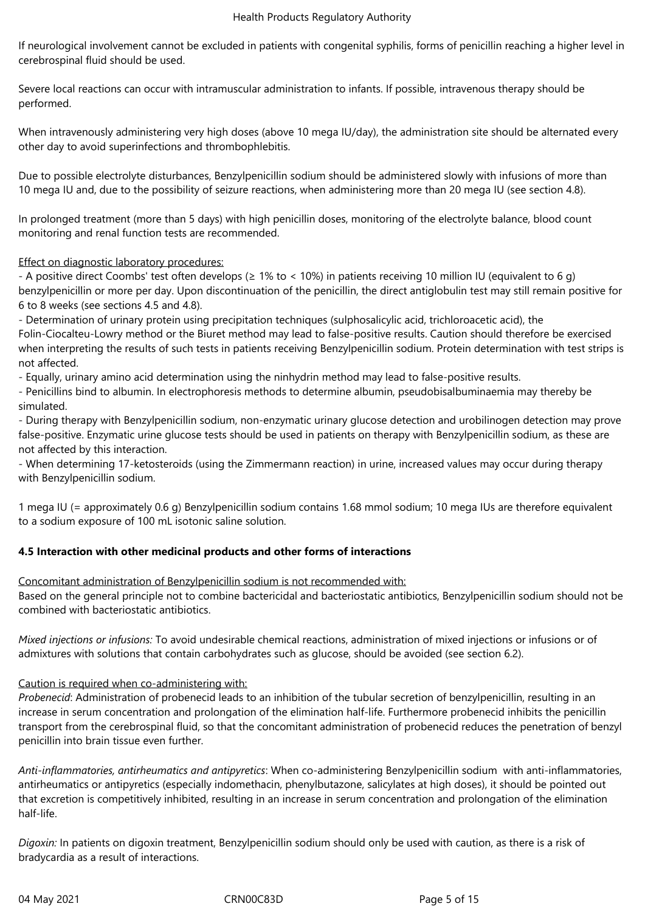If neurological involvement cannot be excluded in patients with congenital syphilis, forms of penicillin reaching a higher level in cerebrospinal fluid should be used.

Severe local reactions can occur with intramuscular administration to infants. If possible, intravenous therapy should be performed.

When intravenously administering very high doses (above 10 mega IU/day), the administration site should be alternated every other day to avoid superinfections and thrombophlebitis.

Due to possible electrolyte disturbances, Benzylpenicillin sodium should be administered slowly with infusions of more than 10 mega IU and, due to the possibility of seizure reactions, when administering more than 20 mega IU (see section 4.8).

In prolonged treatment (more than 5 days) with high penicillin doses, monitoring of the electrolyte balance, blood count monitoring and renal function tests are recommended.

## Effect on diagnostic laboratory procedures:

- A positive direct Coombs' test often develops (≥ 1% to < 10%) in patients receiving 10 million IU (equivalent to 6 g) benzylpenicillin or more per day. Upon discontinuation of the penicillin, the direct antiglobulin test may still remain positive for 6 to 8 weeks (see sections 4.5 and 4.8).

- Determination of urinary protein using precipitation techniques (sulphosalicylic acid, trichloroacetic acid), the Folin-Ciocalteu-Lowry method or the Biuret method may lead to false-positive results. Caution should therefore be exercised when interpreting the results of such tests in patients receiving Benzylpenicillin sodium. Protein determination with test strips is not affected.

- Equally, urinary amino acid determination using the ninhydrin method may lead to false-positive results.

- Penicillins bind to albumin. In electrophoresis methods to determine albumin, pseudobisalbuminaemia may thereby be simulated.

- During therapy with Benzylpenicillin sodium, non-enzymatic urinary glucose detection and urobilinogen detection may prove false-positive. Enzymatic urine glucose tests should be used in patients on therapy with Benzylpenicillin sodium, as these are not affected by this interaction.

- When determining 17-ketosteroids (using the Zimmermann reaction) in urine, increased values may occur during therapy with Benzylpenicillin sodium.

1 mega IU (= approximately 0.6 g) Benzylpenicillin sodium contains 1.68 mmol sodium; 10 mega IUs are therefore equivalent to a sodium exposure of 100 mL isotonic saline solution.

# **4.5 Interaction with other medicinal products and other forms of interactions**

Concomitant administration of Benzylpenicillin sodium is not recommended with:

Based on the general principle not to combine bactericidal and bacteriostatic antibiotics, Benzylpenicillin sodium should not be combined with bacteriostatic antibiotics.

*Mixed injections or infusions:* To avoid undesirable chemical reactions, administration of mixed injections or infusions or of admixtures with solutions that contain carbohydrates such as glucose, should be avoided (see section 6.2).

## Caution is required when co-administering with:

*Probenecid*: Administration of probenecid leads to an inhibition of the tubular secretion of benzylpenicillin, resulting in an increase in serum concentration and prolongation of the elimination half-life. Furthermore probenecid inhibits the penicillin transport from the cerebrospinal fluid, so that the concomitant administration of probenecid reduces the penetration of benzyl penicillin into brain tissue even further.

*Anti-inflammatories, antirheumatics and antipyretics*: When co-administering Benzylpenicillin sodium with anti-inflammatories, antirheumatics or antipyretics (especially indomethacin, phenylbutazone, salicylates at high doses), it should be pointed out that excretion is competitively inhibited, resulting in an increase in serum concentration and prolongation of the elimination half-life.

*Digoxin:* In patients on digoxin treatment, Benzylpenicillin sodium should only be used with caution, as there is a risk of bradycardia as a result of interactions.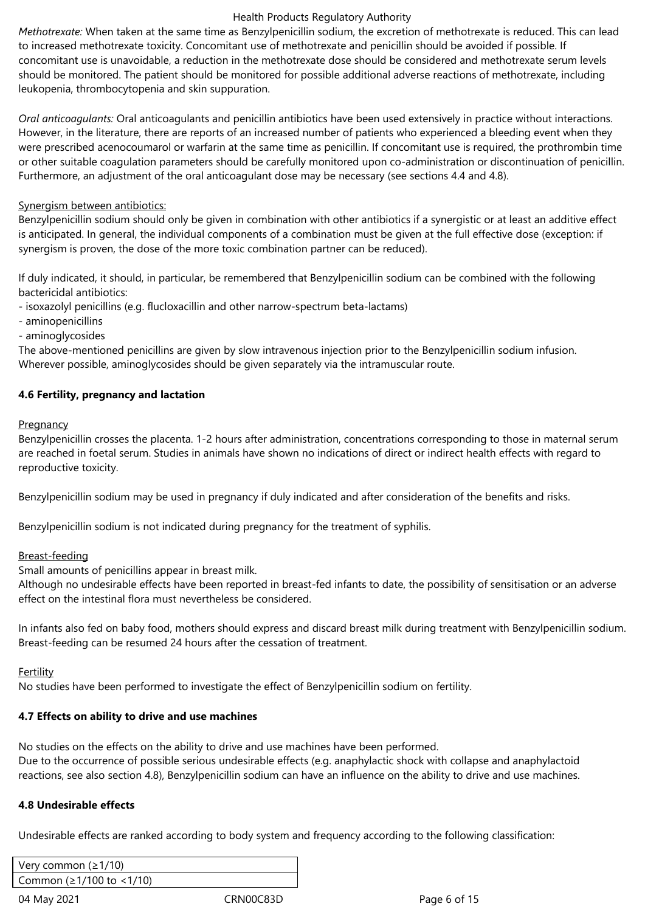*Methotrexate:* When taken at the same time as Benzylpenicillin sodium, the excretion of methotrexate is reduced. This can lead to increased methotrexate toxicity. Concomitant use of methotrexate and penicillin should be avoided if possible. If concomitant use is unavoidable, a reduction in the methotrexate dose should be considered and methotrexate serum levels should be monitored. The patient should be monitored for possible additional adverse reactions of methotrexate, including leukopenia, thrombocytopenia and skin suppuration.

*Oral anticoagulants:* Oral anticoagulants and penicillin antibiotics have been used extensively in practice without interactions. However, in the literature, there are reports of an increased number of patients who experienced a bleeding event when they were prescribed acenocoumarol or warfarin at the same time as penicillin. If concomitant use is required, the prothrombin time or other suitable coagulation parameters should be carefully monitored upon co-administration or discontinuation of penicillin. Furthermore, an adjustment of the oral anticoagulant dose may be necessary (see sections 4.4 and 4.8).

## Synergism between antibiotics:

Benzylpenicillin sodium should only be given in combination with other antibiotics if a synergistic or at least an additive effect is anticipated. In general, the individual components of a combination must be given at the full effective dose (exception: if synergism is proven, the dose of the more toxic combination partner can be reduced).

If duly indicated, it should, in particular, be remembered that Benzylpenicillin sodium can be combined with the following bactericidal antibiotics:

- isoxazolyl penicillins (e.g. flucloxacillin and other narrow-spectrum beta-lactams)
- aminopenicillins
- aminoglycosides

The above-mentioned penicillins are given by slow intravenous injection prior to the Benzylpenicillin sodium infusion. Wherever possible, aminoglycosides should be given separately via the intramuscular route.

## **4.6 Fertility, pregnancy and lactation**

### **Pregnancy**

Benzylpenicillin crosses the placenta. 1-2 hours after administration, concentrations corresponding to those in maternal serum are reached in foetal serum. Studies in animals have shown no indications of direct or indirect health effects with regard to reproductive toxicity.

Benzylpenicillin sodium may be used in pregnancy if duly indicated and after consideration of the benefits and risks.

Benzylpenicillin sodium is not indicated during pregnancy for the treatment of syphilis.

## Breast-feeding

Small amounts of penicillins appear in breast milk.

Although no undesirable effects have been reported in breast-fed infants to date, the possibility of sensitisation or an adverse effect on the intestinal flora must nevertheless be considered.

In infants also fed on baby food, mothers should express and discard breast milk during treatment with Benzylpenicillin sodium. Breast-feeding can be resumed 24 hours after the cessation of treatment.

## Fertility

No studies have been performed to investigate the effect of Benzylpenicillin sodium on fertility.

## **4.7 Effects on ability to drive and use machines**

No studies on the effects on the ability to drive and use machines have been performed. Due to the occurrence of possible serious undesirable effects (e.g. anaphylactic shock with collapse and anaphylactoid reactions, see also section 4.8), Benzylpenicillin sodium can have an influence on the ability to drive and use machines.

## **4.8 Undesirable effects**

Undesirable effects are ranked according to body system and frequency according to the following classification:

| Very common ( $\geq 1/10$ ) |           |              |
|-----------------------------|-----------|--------------|
| Common (≥1/100 to <1/10)    |           |              |
| 04 May 2021                 | CRN00C83D | Page 6 of 15 |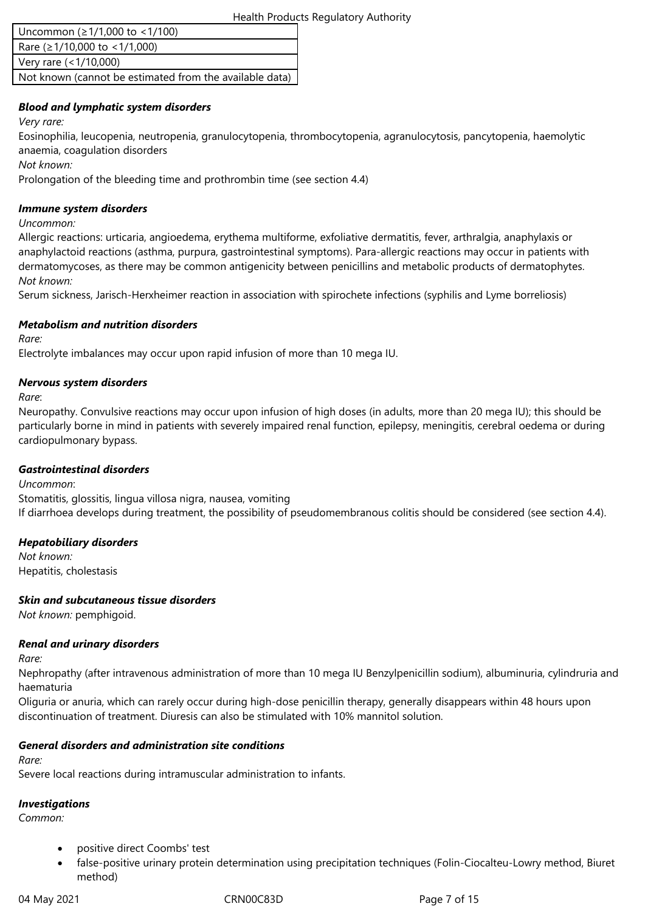| Uncommon (≥1/1,000 to <1/100)                           |
|---------------------------------------------------------|
| Rare ( $\geq$ 1/10,000 to < 1/1,000)                    |
| Very rare (<1/10,000)                                   |
| Not known (cannot be estimated from the available data) |

## *Blood and lymphatic system disorders*

*Very rare:*

Eosinophilia, leucopenia, neutropenia, granulocytopenia, thrombocytopenia, agranulocytosis, pancytopenia, haemolytic anaemia, coagulation disorders

*Not known:*

Prolongation of the bleeding time and prothrombin time (see section 4.4)

#### *Immune system disorders*

*Uncommon:*

Allergic reactions: urticaria, angioedema, erythema multiforme, exfoliative dermatitis, fever, arthralgia, anaphylaxis or anaphylactoid reactions (asthma, purpura, gastrointestinal symptoms). Para-allergic reactions may occur in patients with dermatomycoses, as there may be common antigenicity between penicillins and metabolic products of dermatophytes. *Not known:*

Serum sickness, Jarisch-Herxheimer reaction in association with spirochete infections (syphilis and Lyme borreliosis)

### *Metabolism and nutrition disorders*

*Rare:*

Electrolyte imbalances may occur upon rapid infusion of more than 10 mega IU.

### *Nervous system disorders*

*Rare*:

Neuropathy. Convulsive reactions may occur upon infusion of high doses (in adults, more than 20 mega IU); this should be particularly borne in mind in patients with severely impaired renal function, epilepsy, meningitis, cerebral oedema or during cardiopulmonary bypass.

#### *Gastrointestinal disorders*

*Uncommon*: Stomatitis, glossitis, lingua villosa nigra, nausea, vomiting If diarrhoea develops during treatment, the possibility of pseudomembranous colitis should be considered (see section 4.4).

## *Hepatobiliary disorders*

*Not known:* Hepatitis, cholestasis

## *Skin and subcutaneous tissue disorders*

*Not known:* pemphigoid.

## *Renal and urinary disorders*

*Rare:*

Nephropathy (after intravenous administration of more than 10 mega IU Benzylpenicillin sodium), albuminuria, cylindruria and haematuria

Oliguria or anuria, which can rarely occur during high-dose penicillin therapy, generally disappears within 48 hours upon discontinuation of treatment. Diuresis can also be stimulated with 10% mannitol solution.

## *General disorders and administration site conditions*

*Rare:*

Severe local reactions during intramuscular administration to infants.

# *Investigations*

*Common:*

- positive direct Coombs' test
- false-positive urinary protein determination using precipitation techniques (Folin-Ciocalteu-Lowry method, Biuret method)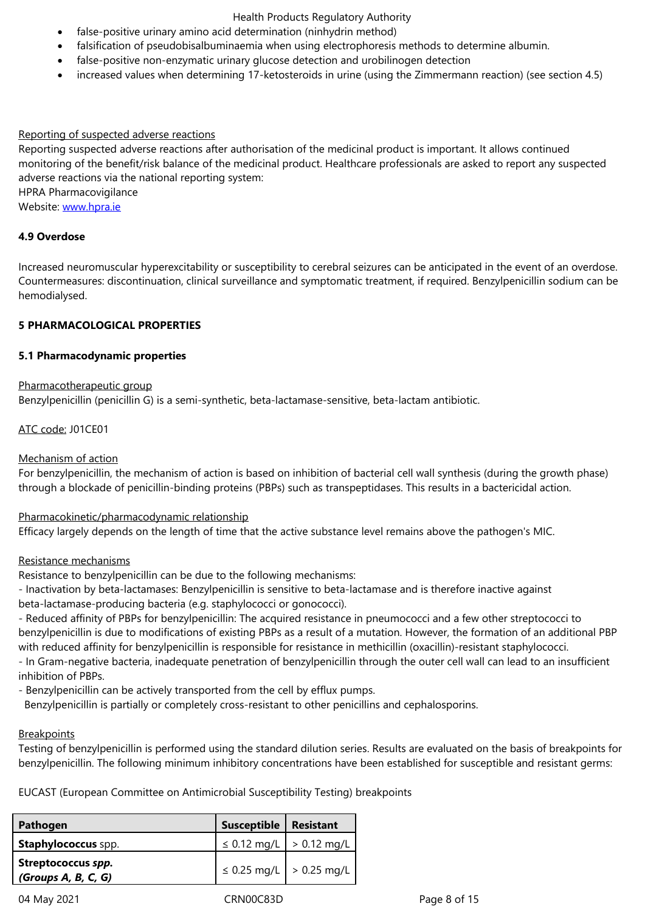- false-positive non-enzymatic urinary glucose detection and urobilinogen detection
- increased values when determining 17-ketosteroids in urine (using the Zimmermann reaction) (see section 4.5)

#### Reporting of suspected adverse reactions

Reporting suspected adverse reactions after authorisation of the medicinal product is important. It allows continued monitoring of the benefit/risk balance of the medicinal product. Healthcare professionals are asked to report any suspected adverse reactions via the national reporting system:

HPRA Pharmacovigilance

Website: www.hpra.ie

#### **4.9 Overdose**

Increase[d neuromuscu](http://www.hpra.ie/)lar hyperexcitability or susceptibility to cerebral seizures can be anticipated in the event of an overdose. Countermeasures: discontinuation, clinical surveillance and symptomatic treatment, if required. Benzylpenicillin sodium can be hemodialysed.

### **5 PHARMACOLOGICAL PROPERTIES**

### **5.1 Pharmacodynamic properties**

#### Pharmacotherapeutic group

Benzylpenicillin (penicillin G) is a semi-synthetic, beta-lactamase-sensitive, beta-lactam antibiotic.

### ATC code: J01CE01

#### Mechanism of action

For benzylpenicillin, the mechanism of action is based on inhibition of bacterial cell wall synthesis (during the growth phase) through a blockade of penicillin-binding proteins (PBPs) such as transpeptidases. This results in a bactericidal action.

## Pharmacokinetic/pharmacodynamic relationship

Efficacy largely depends on the length of time that the active substance level remains above the pathogen's MIC.

#### Resistance mechanisms

Resistance to benzylpenicillin can be due to the following mechanisms:

- Inactivation by beta-lactamases: Benzylpenicillin is sensitive to beta-lactamase and is therefore inactive against beta-lactamase-producing bacteria (e.g. staphylococci or gonococci).

- Reduced affinity of PBPs for benzylpenicillin: The acquired resistance in pneumococci and a few other streptococci to benzylpenicillin is due to modifications of existing PBPs as a result of a mutation. However, the formation of an additional PBP with reduced affinity for benzylpenicillin is responsible for resistance in methicillin (oxacillin)-resistant staphylococci. - In Gram-negative bacteria, inadequate penetration of benzylpenicillin through the outer cell wall can lead to an insufficient inhibition of PBPs.

- Benzylpenicillin can be actively transported from the cell by efflux pumps.

Benzylpenicillin is partially or completely cross-resistant to other penicillins and cephalosporins.

#### **Breakpoints**

Testing of benzylpenicillin is performed using the standard dilution series. Results are evaluated on the basis of breakpoints for benzylpenicillin. The following minimum inhibitory concentrations have been established for susceptible and resistant germs:

EUCAST (European Committee on Antimicrobial Susceptibility Testing) breakpoints

| Pathogen                                  | Susceptible                       | <b>Resistant</b> |
|-------------------------------------------|-----------------------------------|------------------|
| <b>Staphylococcus</b> spp.                | $\leq$ 0.12 mg/L $\geq$ 0.12 mg/L |                  |
| Streptococcus spp.<br>(Groups A, B, C, G) | ≤ 0.25 mg/L $\vert$ > 0.25 mg/L   |                  |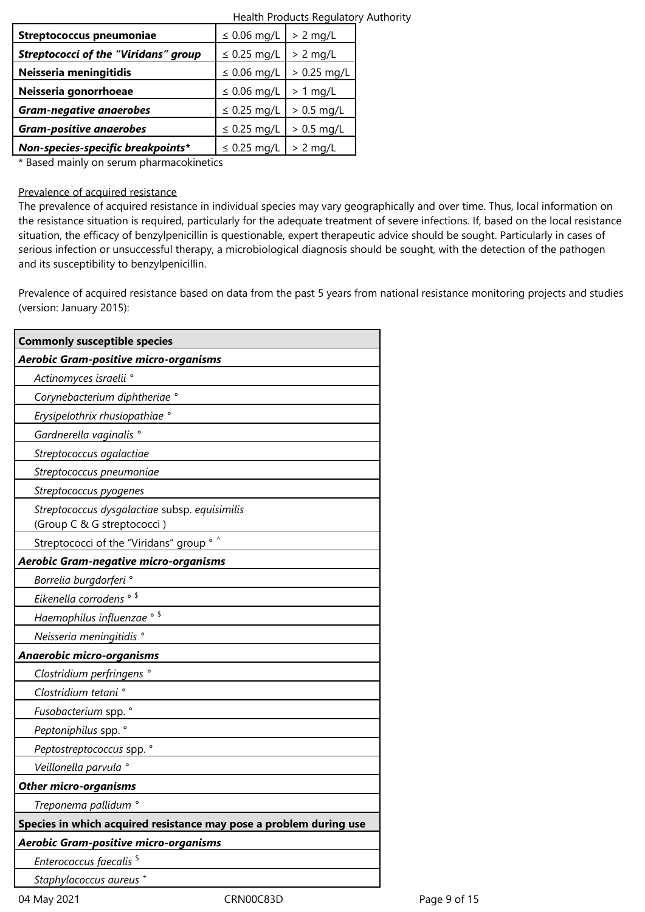|                                                                                                                                                                                                                               | Health Products Regulatory Authority |               |  |
|-------------------------------------------------------------------------------------------------------------------------------------------------------------------------------------------------------------------------------|--------------------------------------|---------------|--|
| <b>Streptococcus pneumoniae</b>                                                                                                                                                                                               | $\leq$ 0.06 mg/L                     | $> 2$ mg/L    |  |
| <b>Streptococci of the "Viridans" group</b>                                                                                                                                                                                   | $\leq$ 0.25 mg/L                     | $> 2$ mg/L    |  |
| Neisseria meningitidis                                                                                                                                                                                                        | $\leq$ 0.06 mg/L                     | $> 0.25$ mg/L |  |
| Neisseria gonorrhoeae                                                                                                                                                                                                         | $\leq$ 0.06 mg/L                     | $> 1$ mg/L    |  |
| <b>Gram-negative anaerobes</b>                                                                                                                                                                                                | $\leq$ 0.25 mg/L                     | $> 0.5$ mg/L  |  |
| <b>Gram-positive anaerobes</b>                                                                                                                                                                                                | $\leq$ 0.25 mg/L                     | $> 0.5$ mg/L  |  |
| Non-species-specific breakpoints*                                                                                                                                                                                             | $\leq$ 0.25 mg/L                     | $> 2$ mg/L    |  |
| . The contract of the contract of the contract of the contract of the contract of the contract of the contract of the contract of the contract of the contract of the contract of the contract of the contract of the contrac |                                      |               |  |

\* Based mainly on serum pharmacokinetics

#### Prevalence of acquired resistance

The prevalence of acquired resistance in individual species may vary geographically and over time. Thus, local information on the resistance situation is required, particularly for the adequate treatment of severe infections. If, based on the local resistance situation, the efficacy of benzylpenicillin is questionable, expert therapeutic advice should be sought. Particularly in cases of serious infection or unsuccessful therapy, a microbiological diagnosis should be sought, with the detection of the pathogen and its susceptibility to benzylpenicillin.

Prevalence of acquired resistance based on data from the past 5 years from national resistance monitoring projects and studies (version: January 2015):

| <b>Commonly susceptible species</b>                                         |  |
|-----------------------------------------------------------------------------|--|
| Aerobic Gram-positive micro-organisms                                       |  |
| Actinomyces israelii °                                                      |  |
| Corynebacterium diphtheriae °                                               |  |
| Erysipelothrix rhusiopathiae °                                              |  |
| Gardnerella vaginalis <sup>°</sup>                                          |  |
| Streptococcus agalactiae                                                    |  |
| Streptococcus pneumoniae                                                    |  |
| Streptococcus pyogenes                                                      |  |
| Streptococcus dysgalactiae subsp. equisimilis<br>(Group C & G streptococci) |  |
| Streptococci of the "Viridans" group ° ^                                    |  |
| Aerobic Gram-negative micro-organisms                                       |  |
| Borrelia burgdorferi °                                                      |  |
| Eikenella corrodens <sup>® \$</sup>                                         |  |
| Haemophilus influenzae ° \$                                                 |  |
| Neisseria meningitidis °                                                    |  |
| Anaerobic micro-organisms                                                   |  |
| Clostridium perfringens °                                                   |  |
| Clostridium tetani °                                                        |  |
| Fusobacterium spp. °                                                        |  |
| Peptoniphilus spp. °                                                        |  |
| Peptostreptococcus spp. °                                                   |  |
| Veillonella parvula °                                                       |  |
| <b>Other micro-organisms</b>                                                |  |
| Treponema pallidum <sup>°</sup>                                             |  |
| Species in which acquired resistance may pose a problem during use          |  |
| Aerobic Gram-positive micro-organisms                                       |  |
| Enterococcus faecalis <sup>\$</sup>                                         |  |
| Staphylococcus aureus <sup>+</sup>                                          |  |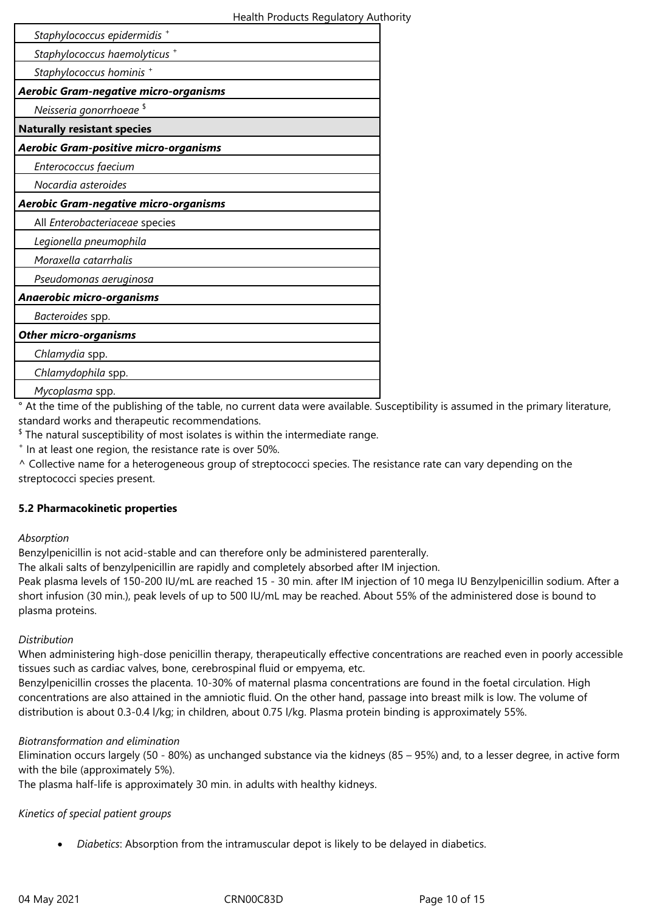| Staphylococcus epidermidis +                 |  |
|----------------------------------------------|--|
| Staphylococcus haemolyticus +                |  |
| Staphylococcus hominis +                     |  |
| <b>Aerobic Gram-negative micro-organisms</b> |  |
| Neisseria gonorrhoeae <sup>\$</sup>          |  |
| <b>Naturally resistant species</b>           |  |
| Aerobic Gram-positive micro-organisms        |  |
| Enterococcus faecium                         |  |
| Nocardia asteroides                          |  |
| <b>Aerobic Gram-negative micro-organisms</b> |  |
| All Enterobacteriaceae species               |  |
| Legionella pneumophila                       |  |
| Moraxella catarrhalis                        |  |
| Pseudomonas aeruginosa                       |  |
| Anaerobic micro-organisms                    |  |
| Bacteroides spp.                             |  |
| <b>Other micro-organisms</b>                 |  |
| Chlamydia spp.                               |  |
| Chlamydophila spp.                           |  |
| Mycoplasma spp.                              |  |

° At the time of the publishing of the table, no current data were available. Susceptibility is assumed in the primary literature, standard works and therapeutic recommendations.

 $^{\$}$  The natural susceptibility of most isolates is within the intermediate range.

+ In at least one region, the resistance rate is over 50%.

^ Collective name for a heterogeneous group of streptococci species. The resistance rate can vary depending on the streptococci species present.

## **5.2 Pharmacokinetic properties**

#### *Absorption*

Benzylpenicillin is not acid-stable and can therefore only be administered parenterally.

The alkali salts of benzylpenicillin are rapidly and completely absorbed after IM injection.

Peak plasma levels of 150-200 IU/mL are reached 15 - 30 min. after IM injection of 10 mega IU Benzylpenicillin sodium. After a short infusion (30 min.), peak levels of up to 500 IU/mL may be reached. About 55% of the administered dose is bound to plasma proteins.

## *Distribution*

When administering high-dose penicillin therapy, therapeutically effective concentrations are reached even in poorly accessible tissues such as cardiac valves, bone, cerebrospinal fluid or empyema, etc.

Benzylpenicillin crosses the placenta. 10-30% of maternal plasma concentrations are found in the foetal circulation. High concentrations are also attained in the amniotic fluid. On the other hand, passage into breast milk is low. The volume of distribution is about 0.3-0.4 l/kg; in children, about 0.75 l/kg. Plasma protein binding is approximately 55%.

## *Biotransformation and elimination*

Elimination occurs largely (50 - 80%) as unchanged substance via the kidneys (85 – 95%) and, to a lesser degree, in active form with the bile (approximately 5%).

The plasma half-life is approximately 30 min. in adults with healthy kidneys.

## *Kinetics of special patient groups*

*Diabetics*: Absorption from the intramuscular depot is likely to be delayed in diabetics.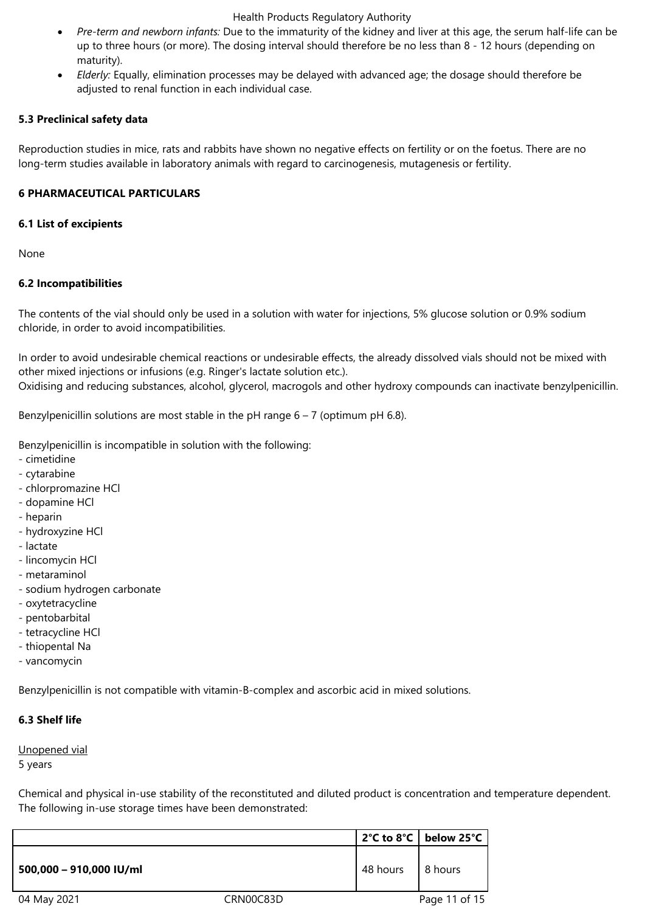- *Pre-term and newborn infants:* Due to the immaturity of the kidney and liver at this age, the serum half-life can be up to three hours (or more). The dosing interval should therefore be no less than 8 - 12 hours (depending on maturity).
- *Elderly:* Equally, elimination processes may be delayed with advanced age; the dosage should therefore be adjusted to renal function in each individual case.

#### **5.3 Preclinical safety data**

Reproduction studies in mice, rats and rabbits have shown no negative effects on fertility or on the foetus. There are no long-term studies available in laboratory animals with regard to carcinogenesis, mutagenesis or fertility.

### **6 PHARMACEUTICAL PARTICULARS**

#### **6.1 List of excipients**

None

### **6.2 Incompatibilities**

The contents of the vial should only be used in a solution with water for injections, 5% glucose solution or 0.9% sodium chloride, in order to avoid incompatibilities.

In order to avoid undesirable chemical reactions or undesirable effects, the already dissolved vials should not be mixed with other mixed injections or infusions (e.g. Ringer's lactate solution etc.). Oxidising and reducing substances, alcohol, glycerol, macrogols and other hydroxy compounds can inactivate benzylpenicillin.

Benzylpenicillin solutions are most stable in the pH range  $6 - 7$  (optimum pH 6.8).

Benzylpenicillin is incompatible in solution with the following:

- cimetidine
- cytarabine
- chlorpromazine HCl
- dopamine HCl
- heparin
- hydroxyzine HCl
- lactate
- lincomycin HCl
- metaraminol
- sodium hydrogen carbonate
- oxytetracycline
- pentobarbital
- tetracycline HCl
- thiopental Na
- vancomycin

Benzylpenicillin is not compatible with vitamin-B-complex and ascorbic acid in mixed solutions.

## **6.3 Shelf life**

Unopened vial

5 years

Chemical and physical in-use stability of the reconstituted and diluted product is concentration and temperature dependent. The following in-use storage times have been demonstrated:

|                         |           |          | 2°C to 8°C   below 25°C |
|-------------------------|-----------|----------|-------------------------|
| 500,000 - 910,000 IU/ml |           | 48 hours | 8 hours                 |
| 04 May 2021             | CRN00C83D |          | Page 11 of 15           |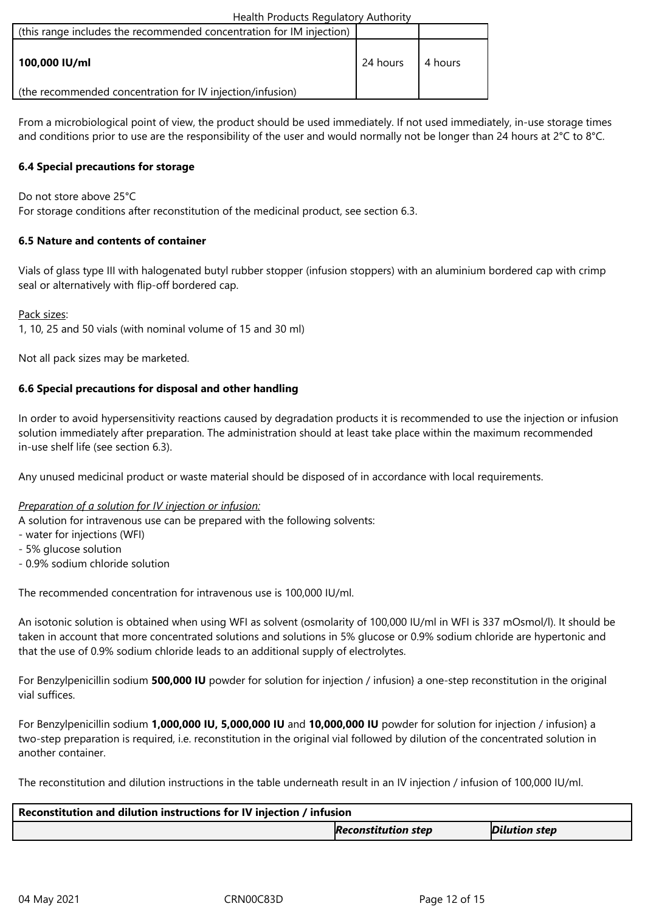| (this range includes the recommended concentration for IM injection) |          |          |
|----------------------------------------------------------------------|----------|----------|
| 100,000 IU/ml                                                        | 24 hours | 14 hours |
| (the recommended concentration for IV injection/infusion)            |          |          |

From a microbiological point of view, the product should be used immediately. If not used immediately, in-use storage times and conditions prior to use are the responsibility of the user and would normally not be longer than 24 hours at 2°C to 8°C.

## **6.4 Special precautions for storage**

Do not store above 25°C

For storage conditions after reconstitution of the medicinal product, see section 6.3.

### **6.5 Nature and contents of container**

Vials of glass type III with halogenated butyl rubber stopper (infusion stoppers) with an aluminium bordered cap with crimp seal or alternatively with flip-off bordered cap.

#### Pack sizes:

1, 10, 25 and 50 vials (with nominal volume of 15 and 30 ml)

Not all pack sizes may be marketed.

### **6.6 Special precautions for disposal and other handling**

In order to avoid hypersensitivity reactions caused by degradation products it is recommended to use the injection or infusion solution immediately after preparation. The administration should at least take place within the maximum recommended in-use shelf life (see section 6.3).

Any unused medicinal product or waste material should be disposed of in accordance with local requirements.

## *Preparation of a solution for IV injection or infusion:*

A solution for intravenous use can be prepared with the following solvents:

- water for injections (WFI)
- 5% glucose solution
- 0.9% sodium chloride solution

The recommended concentration for intravenous use is 100,000 IU/ml.

An isotonic solution is obtained when using WFI as solvent (osmolarity of 100,000 IU/ml in WFI is 337 mOsmol/l). It should be taken in account that more concentrated solutions and solutions in 5% glucose or 0.9% sodium chloride are hypertonic and that the use of 0.9% sodium chloride leads to an additional supply of electrolytes.

For Benzylpenicillin sodium **500,000 IU** powder for solution for injection / infusion} a one-step reconstitution in the original vial suffices.

For Benzylpenicillin sodium **1,000,000 IU, 5,000,000 IU** and **10,000,000 IU** powder for solution for injection / infusion} a two-step preparation is required, i.e. reconstitution in the original vial followed by dilution of the concentrated solution in another container.

The reconstitution and dilution instructions in the table underneath result in an IV injection / infusion of 100,000 IU/ml.

| Reconstitution and dilution instructions for IV injection / infusion |                            |                      |  |
|----------------------------------------------------------------------|----------------------------|----------------------|--|
|                                                                      | <b>Reconstitution step</b> | <b>Dilution step</b> |  |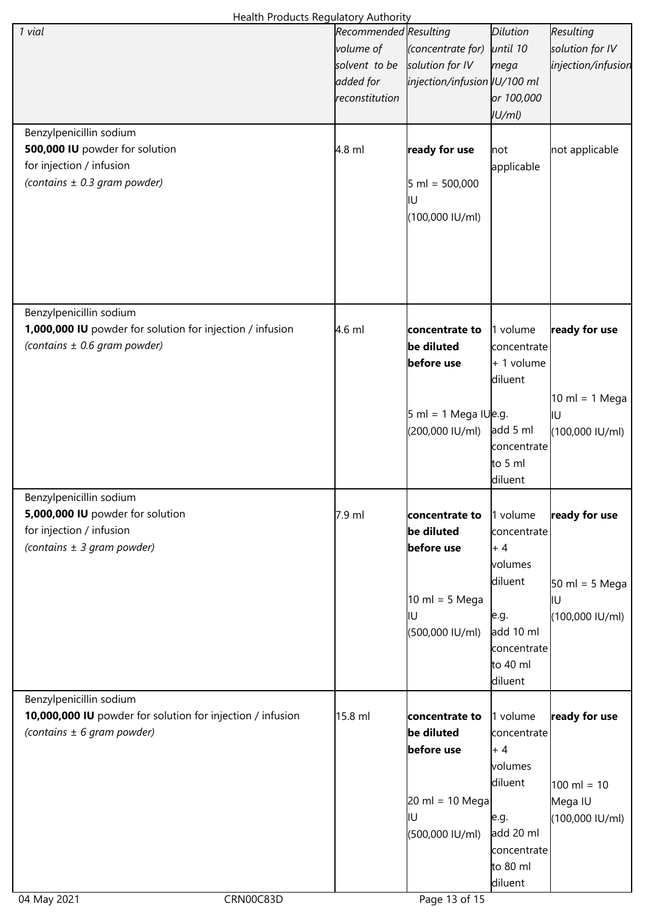| Health Products Regulatory Authority                       |                       |                                           |                 |                                  |  |
|------------------------------------------------------------|-----------------------|-------------------------------------------|-----------------|----------------------------------|--|
| 1 vial                                                     | Recommended Resulting |                                           | <b>Dilution</b> | Resulting                        |  |
|                                                            | volume of             | (concentrate for)                         | until 10        | solution for IV                  |  |
|                                                            | solvent to be         | solution for IV                           | mega            | injection/infusion               |  |
|                                                            | added for             | injection/infusion   U/100 ml             |                 |                                  |  |
|                                                            | reconstitution        |                                           | or 100,000      |                                  |  |
|                                                            |                       |                                           | IU/ml           |                                  |  |
|                                                            |                       |                                           |                 |                                  |  |
| Benzylpenicillin sodium                                    |                       |                                           |                 |                                  |  |
| 500,000 IU powder for solution                             | $4.8$ ml              | ready for use                             | not             | not applicable                   |  |
| for injection / infusion                                   |                       |                                           | applicable      |                                  |  |
| (contains $\pm$ 0.3 gram powder)                           |                       | $5 \text{ ml} = 500,000$                  |                 |                                  |  |
|                                                            |                       | ļΙU                                       |                 |                                  |  |
|                                                            |                       | (100,000 IU/ml)                           |                 |                                  |  |
|                                                            |                       |                                           |                 |                                  |  |
|                                                            |                       |                                           |                 |                                  |  |
|                                                            |                       |                                           |                 |                                  |  |
|                                                            |                       |                                           |                 |                                  |  |
|                                                            |                       |                                           |                 |                                  |  |
| Benzylpenicillin sodium                                    |                       |                                           |                 |                                  |  |
| 1,000,000 IU powder for solution for injection / infusion  |                       |                                           |                 |                                  |  |
|                                                            | $4.6$ ml              | concentrate to                            | 1 volume        | ready for use                    |  |
| (contains $\pm$ 0.6 gram powder)                           |                       | be diluted                                | concentrate     |                                  |  |
|                                                            |                       | before use                                | $+1$ volume     |                                  |  |
|                                                            |                       |                                           | diluent         |                                  |  |
|                                                            |                       |                                           |                 | $10 \text{ ml} = 1 \text{ Mega}$ |  |
|                                                            |                       | $5 \text{ ml} = 1 \text{ Mega}$ IU $e.g.$ |                 | ļΙU                              |  |
|                                                            |                       | (200,000 IU/ml)                           | add 5 ml        | (100,000 IU/ml)                  |  |
|                                                            |                       |                                           | concentrate     |                                  |  |
|                                                            |                       |                                           | to 5 ml         |                                  |  |
|                                                            |                       |                                           | diluent         |                                  |  |
| Benzylpenicillin sodium                                    |                       |                                           |                 |                                  |  |
| 5,000,000 IU powder for solution                           | 7.9 ml                | concentrate to                            | 1 volume        | ready for use                    |  |
| for injection / infusion                                   |                       | be diluted                                | concentrate     |                                  |  |
| (contains $\pm$ 3 gram powder)                             |                       | before use                                | $+4$            |                                  |  |
|                                                            |                       |                                           |                 |                                  |  |
|                                                            |                       |                                           | volumes         |                                  |  |
|                                                            |                       |                                           | diluent         | $50 \text{ ml} = 5 \text{ Mega}$ |  |
|                                                            |                       | $10 \text{ ml} = 5 \text{ Mega}$          |                 | IU                               |  |
|                                                            |                       | IU                                        | e.g.            | (100,000 IU/ml)                  |  |
|                                                            |                       | (500,000 IU/ml)                           | add 10 ml       |                                  |  |
|                                                            |                       |                                           | concentrate     |                                  |  |
|                                                            |                       |                                           | to 40 ml        |                                  |  |
|                                                            |                       |                                           | diluent         |                                  |  |
| Benzylpenicillin sodium                                    |                       |                                           |                 |                                  |  |
| 10,000,000 IU powder for solution for injection / infusion | 15.8 ml               | concentrate to                            | 1 volume        | ready for use                    |  |
| (contains $\pm$ 6 gram powder)                             |                       | be diluted                                | concentrate     |                                  |  |
|                                                            |                       | before use                                | + 4             |                                  |  |
|                                                            |                       |                                           |                 |                                  |  |
|                                                            |                       |                                           | volumes         |                                  |  |
|                                                            |                       |                                           | diluent         | $100 \text{ ml} = 10$            |  |
|                                                            |                       | $20 \text{ ml} = 10 \text{ Mega}$         |                 | Mega IU                          |  |
|                                                            |                       | IU                                        | e.g.            | (100,000 IU/ml)                  |  |
|                                                            |                       | (500,000 IU/ml)                           | add 20 ml       |                                  |  |
|                                                            |                       |                                           | concentrate     |                                  |  |
|                                                            |                       |                                           | to 80 ml        |                                  |  |
|                                                            |                       |                                           | diluent         |                                  |  |
| 04 May 2021<br>CRN00C83D                                   |                       | Page 13 of 15                             |                 |                                  |  |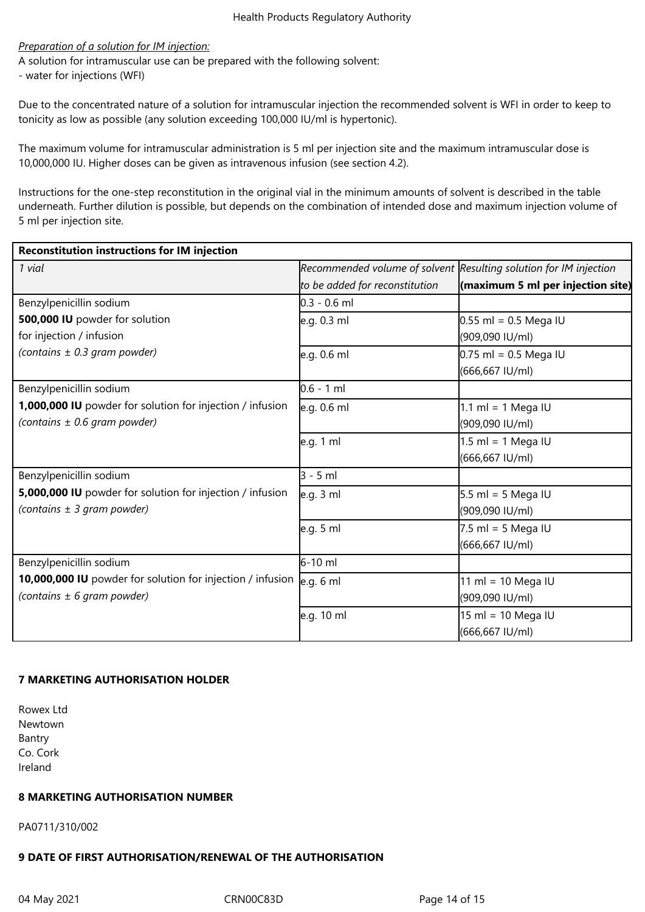#### *Preparation of a solution for IM injection:*

A solution for intramuscular use can be prepared with the following solvent: - water for injections (WFI)

Due to the concentrated nature of a solution for intramuscular injection the recommended solvent is WFI in order to keep to tonicity as low as possible (any solution exceeding 100,000 IU/ml is hypertonic).

The maximum volume for intramuscular administration is 5 ml per injection site and the maximum intramuscular dose is 10,000,000 IU. Higher doses can be given as intravenous infusion (see section 4.2).

Instructions for the one-step reconstitution in the original vial in the minimum amounts of solvent is described in the table underneath. Further dilution is possible, but depends on the combination of intended dose and maximum injection volume of 5 ml per injection site.

| <b>Reconstitution instructions for IM injection</b>        |                                |                                                                   |  |  |
|------------------------------------------------------------|--------------------------------|-------------------------------------------------------------------|--|--|
| 1 vial                                                     |                                | Recommended volume of solvent Resulting solution for IM injection |  |  |
|                                                            | to be added for reconstitution | $\left  \right $ (maximum 5 ml per injection site)                |  |  |
| Benzylpenicillin sodium                                    | $0.3 - 0.6$ ml                 |                                                                   |  |  |
| 500,000 IU powder for solution                             | e.g. 0.3 ml                    | $0.55$ ml = 0.5 Mega IU                                           |  |  |
| for injection / infusion                                   |                                | (909,090 IU/ml)                                                   |  |  |
| (contains $\pm$ 0.3 gram powder)                           | e.g. 0.6 ml                    | $0.75$ ml = 0.5 Mega IU                                           |  |  |
|                                                            |                                | (666,667 IU/ml)                                                   |  |  |
| Benzylpenicillin sodium                                    | $0.6 - 1$ ml                   |                                                                   |  |  |
| 1,000,000 IU powder for solution for injection / infusion  | e.g. 0.6 ml                    | 1.1 ml = 1 Mega IU                                                |  |  |
| (contains $\pm$ 0.6 gram powder)                           |                                | (909,090 IU/ml)                                                   |  |  |
|                                                            | e.g. 1 ml                      | 1.5 ml = 1 Mega IU                                                |  |  |
|                                                            |                                | (666,667 IU/ml)                                                   |  |  |
| Benzylpenicillin sodium                                    | $3 - 5$ ml                     |                                                                   |  |  |
| 5,000,000 IU powder for solution for injection / infusion  | e.g. 3 ml                      | $5.5$ ml = 5 Mega IU                                              |  |  |
| (contains $\pm$ 3 gram powder)                             |                                | (909,090 IU/ml)                                                   |  |  |
|                                                            | e.g. 5 ml                      | $7.5$ ml = 5 Mega IU                                              |  |  |
|                                                            |                                | (666,667 IU/ml)                                                   |  |  |
| Benzylpenicillin sodium                                    | 6-10 ml                        |                                                                   |  |  |
| 10,000,000 IU powder for solution for injection / infusion | e.g. 6 ml                      | 11 ml = 10 Mega IU                                                |  |  |
| (contains $\pm$ 6 gram powder)                             |                                | (909,090 IU/ml)                                                   |  |  |
|                                                            | e.g. 10 ml                     | 15 ml = 10 Mega IU                                                |  |  |
|                                                            |                                | (666,667 IU/ml)                                                   |  |  |

## **7 MARKETING AUTHORISATION HOLDER**

Rowex Ltd Newtown Bantry Co. Cork Ireland

#### **8 MARKETING AUTHORISATION NUMBER**

PA0711/310/002

# **9 DATE OF FIRST AUTHORISATION/RENEWAL OF THE AUTHORISATION**